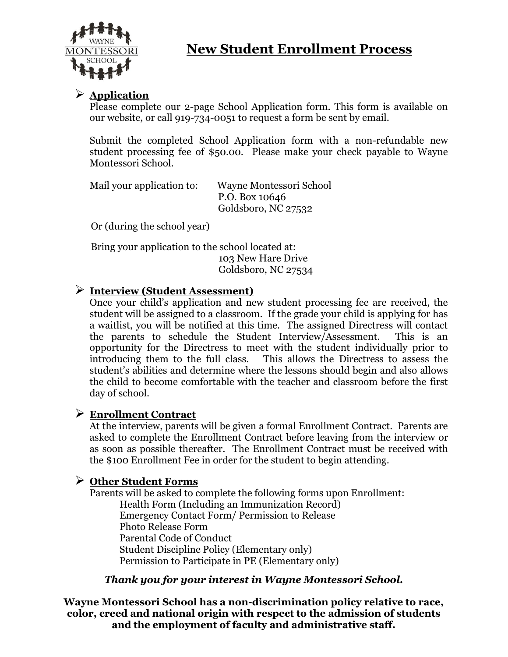

# **New Student Enrollment Process**

## ➢ **Application**

Please complete our 2-page School Application form. This form is available on our website, or call 919-734-0051 to request a form be sent by email.

Submit the completed School Application form with a non-refundable new student processing fee of \$50.00. Please make your check payable to Wayne Montessori School.

| Mail your application to: | Wayne Montessori School |
|---------------------------|-------------------------|
|                           | P.O. Box 10646          |
|                           | Goldsboro, NC 27532     |

Or (during the school year)

 Bring your application to the school located at: 103 New Hare Drive Goldsboro, NC 27534

## ➢ **Interview (Student Assessment)**

Once your child's application and new student processing fee are received, the student will be assigned to a classroom. If the grade your child is applying for has a waitlist, you will be notified at this time. The assigned Directress will contact the parents to schedule the Student Interview/Assessment. This is an opportunity for the Directress to meet with the student individually prior to introducing them to the full class. This allows the Directress to assess the student's abilities and determine where the lessons should begin and also allows the child to become comfortable with the teacher and classroom before the first day of school.

## ➢ **Enrollment Contract**

At the interview, parents will be given a formal Enrollment Contract. Parents are asked to complete the Enrollment Contract before leaving from the interview or as soon as possible thereafter. The Enrollment Contract must be received with the \$100 Enrollment Fee in order for the student to begin attending.

## ➢ **Other Student Forms**

Parents will be asked to complete the following forms upon Enrollment: Health Form (Including an Immunization Record) Emergency Contact Form/ Permission to Release Photo Release Form Parental Code of Conduct Student Discipline Policy (Elementary only) Permission to Participate in PE (Elementary only)

## *Thank you for your interest in Wayne Montessori School.*

**Wayne Montessori School has a non-discrimination policy relative to race, color, creed and national origin with respect to the admission of students and the employment of faculty and administrative staff.**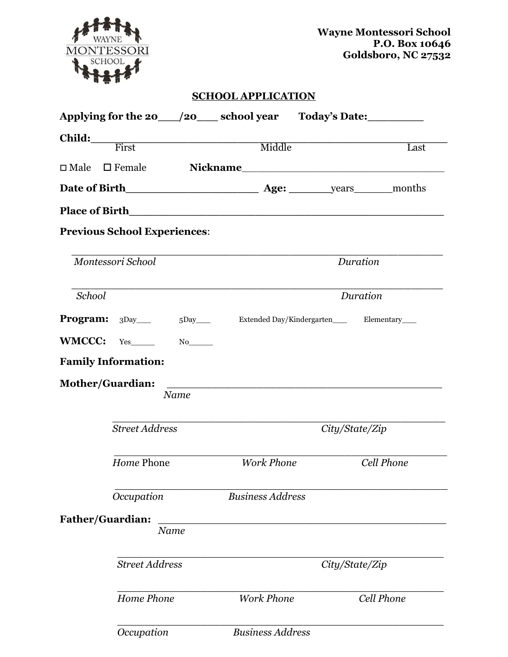

**Wayne Montessori School P.O. Box 10646 Goldsboro, NC 27532**

### **SCHOOL APPLICATION**

|                         |                                     |             |                                                                | Applying for the 20 ____ /20 ____ school year Today's Date: ___________               |                   |
|-------------------------|-------------------------------------|-------------|----------------------------------------------------------------|---------------------------------------------------------------------------------------|-------------------|
|                         |                                     |             | Child: First Middle                                            |                                                                                       | Last              |
|                         |                                     |             |                                                                | $\square \text{ Male} \quad \square \text{ Female} \qquad \qquad \textbf{Nickname}\_$ |                   |
|                         |                                     |             |                                                                |                                                                                       |                   |
|                         |                                     |             |                                                                |                                                                                       |                   |
|                         | <b>Previous School Experiences:</b> |             |                                                                |                                                                                       |                   |
|                         | Montessori School                   |             | Duration                                                       |                                                                                       |                   |
| School                  |                                     |             |                                                                | Duration                                                                              |                   |
|                         |                                     |             | <b>Program:</b> 3Day 5Day Extended Day/Kindergarten Elementary |                                                                                       |                   |
|                         | $WMCCC: Yes$ No No                  |             |                                                                |                                                                                       |                   |
|                         | <b>Family Information:</b>          |             |                                                                |                                                                                       |                   |
|                         |                                     | <b>Name</b> |                                                                |                                                                                       |                   |
|                         | <b>Street Address</b>               |             |                                                                | City/State/Zip                                                                        |                   |
|                         | Home Phone                          |             | <b>Work Phone</b>                                              |                                                                                       | <b>Cell Phone</b> |
|                         | Occupation                          |             | <b>Business Address</b>                                        |                                                                                       |                   |
| <b>Father/Guardian:</b> |                                     | Name        |                                                                |                                                                                       |                   |
|                         | <b>Street Address</b>               |             |                                                                | City/State/Zip                                                                        |                   |
|                         | Home Phone                          |             | <b>Work Phone</b>                                              |                                                                                       | Cell Phone        |
|                         | Occupation                          |             | <b>Business Address</b>                                        |                                                                                       |                   |